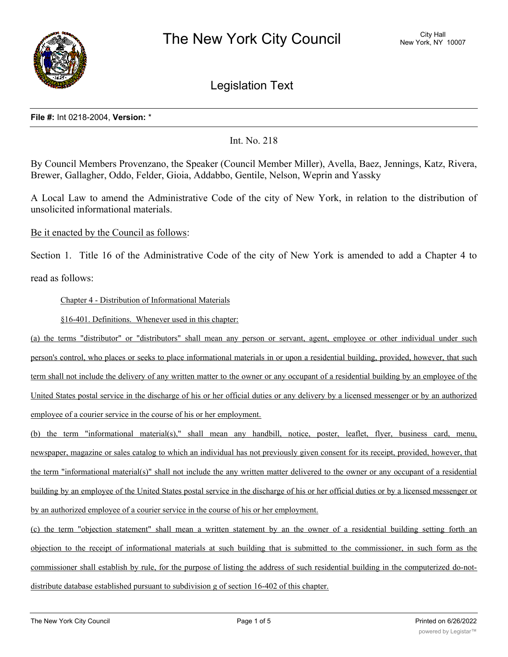

Legislation Text

### **File #:** Int 0218-2004, **Version:** \*

# Int. No. 218

By Council Members Provenzano, the Speaker (Council Member Miller), Avella, Baez, Jennings, Katz, Rivera, Brewer, Gallagher, Oddo, Felder, Gioia, Addabbo, Gentile, Nelson, Weprin and Yassky

A Local Law to amend the Administrative Code of the city of New York, in relation to the distribution of unsolicited informational materials.

Be it enacted by the Council as follows:

Section 1. Title 16 of the Administrative Code of the city of New York is amended to add a Chapter 4 to read as follows:

Chapter 4 - Distribution of Informational Materials

§16-401. Definitions. Whenever used in this chapter:

(a) the terms "distributor" or "distributors" shall mean any person or servant, agent, employee or other individual under such person's control, who places or seeks to place informational materials in or upon a residential building, provided, however, that such term shall not include the delivery of any written matter to the owner or any occupant of a residential building by an employee of the United States postal service in the discharge of his or her official duties or any delivery by a licensed messenger or by an authorized employee of a courier service in the course of his or her employment.

(b) the term "informational material(s)," shall mean any handbill, notice, poster, leaflet, flyer, business card, menu, newspaper, magazine or sales catalog to which an individual has not previously given consent for its receipt, provided, however, that the term "informational material(s)" shall not include the any written matter delivered to the owner or any occupant of a residential building by an employee of the United States postal service in the discharge of his or her official duties or by a licensed messenger or by an authorized employee of a courier service in the course of his or her employment.

(c) the term "objection statement" shall mean a written statement by an the owner of a residential building setting forth an objection to the receipt of informational materials at such building that is submitted to the commissioner, in such form as the commissioner shall establish by rule, for the purpose of listing the address of such residential building in the computerized do-notdistribute database established pursuant to subdivision g of section 16-402 of this chapter.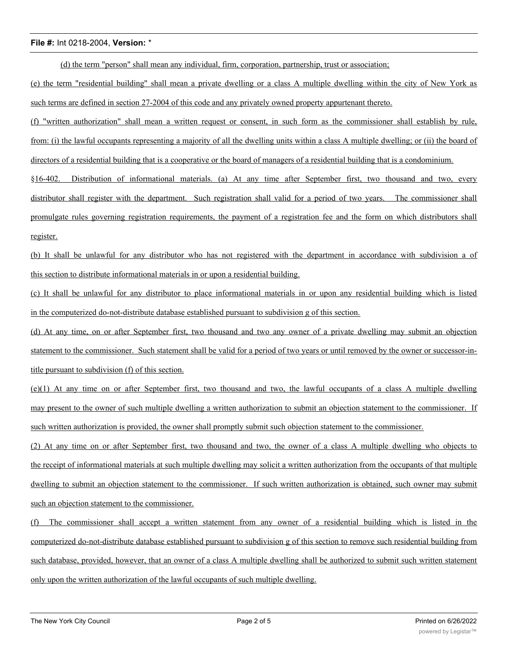(d) the term "person" shall mean any individual, firm, corporation, partnership, trust or association;

(e) the term "residential building" shall mean a private dwelling or a class A multiple dwelling within the city of New York as such terms are defined in section 27-2004 of this code and any privately owned property appurtenant thereto.

(f) "written authorization" shall mean a written request or consent, in such form as the commissioner shall establish by rule, from: (i) the lawful occupants representing a majority of all the dwelling units within a class A multiple dwelling; or (ii) the board of directors of a residential building that is a cooperative or the board of managers of a residential building that is a condominium.

§16-402. Distribution of informational materials. (a) At any time after September first, two thousand and two, every distributor shall register with the department. Such registration shall valid for a period of two years. The commissioner shall promulgate rules governing registration requirements, the payment of a registration fee and the form on which distributors shall register.

(b) It shall be unlawful for any distributor who has not registered with the department in accordance with subdivision a of this section to distribute informational materials in or upon a residential building.

(c) It shall be unlawful for any distributor to place informational materials in or upon any residential building which is listed in the computerized do-not-distribute database established pursuant to subdivision g of this section.

(d) At any time, on or after September first, two thousand and two any owner of a private dwelling may submit an objection statement to the commissioner. Such statement shall be valid for a period of two years or until removed by the owner or successor-intitle pursuant to subdivision (f) of this section.

(e)(1) At any time on or after September first, two thousand and two, the lawful occupants of a class A multiple dwelling may present to the owner of such multiple dwelling a written authorization to submit an objection statement to the commissioner. If such written authorization is provided, the owner shall promptly submit such objection statement to the commissioner.

(2) At any time on or after September first, two thousand and two, the owner of a class A multiple dwelling who objects to the receipt of informational materials at such multiple dwelling may solicit a written authorization from the occupants of that multiple dwelling to submit an objection statement to the commissioner. If such written authorization is obtained, such owner may submit such an objection statement to the commissioner.

(f) The commissioner shall accept a written statement from any owner of a residential building which is listed in the computerized do-not-distribute database established pursuant to subdivision g of this section to remove such residential building from such database, provided, however, that an owner of a class A multiple dwelling shall be authorized to submit such written statement only upon the written authorization of the lawful occupants of such multiple dwelling.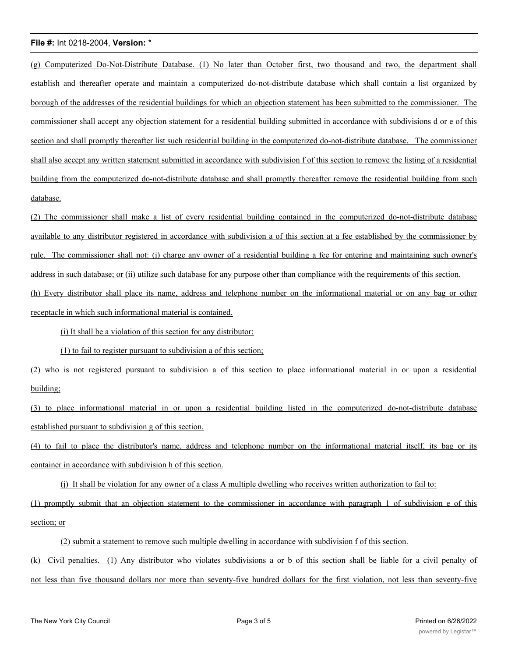(g) Computerized Do-Not-Distribute Database. (1) No later than October first, two thousand and two, the department shall establish and thereafter operate and maintain a computerized do-not-distribute database which shall contain a list organized by borough of the addresses of the residential buildings for which an objection statement has been submitted to the commissioner. The commissioner shall accept any objection statement for a residential building submitted in accordance with subdivisions d or e of this section and shall promptly thereafter list such residential building in the computerized do-not-distribute database. The commissioner shall also accept any written statement submitted in accordance with subdivision f of this section to remove the listing of a residential building from the computerized do-not-distribute database and shall promptly thereafter remove the residential building from such database.

(2) The commissioner shall make a list of every residential building contained in the computerized do-not-distribute database available to any distributor registered in accordance with subdivision a of this section at a fee established by the commissioner by rule. The commissioner shall not: (i) charge any owner of a residential building a fee for entering and maintaining such owner's address in such database; or (ii) utilize such database for any purpose other than compliance with the requirements of this section. (h) Every distributor shall place its name, address and telephone number on the informational material or on any bag or other receptacle in which such informational material is contained.

(i) It shall be a violation of this section for any distributor:

(1) to fail to register pursuant to subdivision a of this section;

(2) who is not registered pursuant to subdivision a of this section to place informational material in or upon a residential building;

(3) to place informational material in or upon a residential building listed in the computerized do-not-distribute database established pursuant to subdivision g of this section.

(4) to fail to place the distributor's name, address and telephone number on the informational material itself, its bag or its container in accordance with subdivision h of this section.

(j) It shall be violation for any owner of a class A multiple dwelling who receives written authorization to fail to:

(1) promptly submit that an objection statement to the commissioner in accordance with paragraph 1 of subdivision e of this section; or

(2) submit a statement to remove such multiple dwelling in accordance with subdivision f of this section.

(k) Civil penalties. (1) Any distributor who violates subdivisions a or b of this section shall be liable for a civil penalty of not less than five thousand dollars nor more than seventy-five hundred dollars for the first violation, not less than seventy-five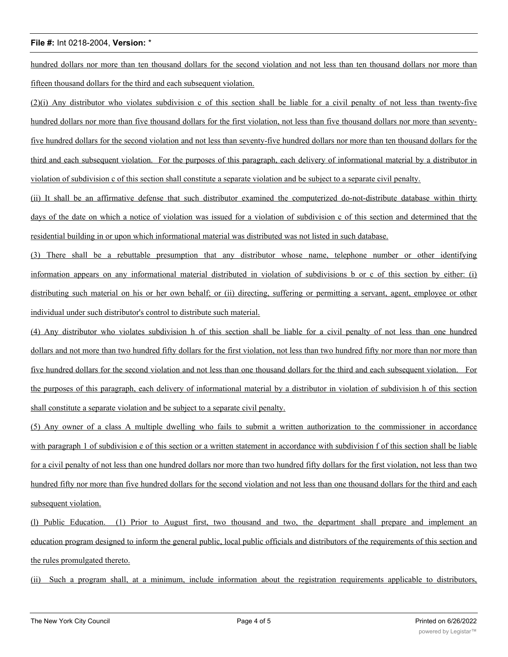hundred dollars nor more than ten thousand dollars for the second violation and not less than ten thousand dollars nor more than fifteen thousand dollars for the third and each subsequent violation.

(2)(i) Any distributor who violates subdivision c of this section shall be liable for a civil penalty of not less than twenty-five hundred dollars nor more than five thousand dollars for the first violation, not less than five thousand dollars nor more than seventyfive hundred dollars for the second violation and not less than seventy-five hundred dollars nor more than ten thousand dollars for the third and each subsequent violation. For the purposes of this paragraph, each delivery of informational material by a distributor in violation of subdivision c of this section shall constitute a separate violation and be subject to a separate civil penalty.

(ii) It shall be an affirmative defense that such distributor examined the computerized do-not-distribute database within thirty days of the date on which a notice of violation was issued for a violation of subdivision c of this section and determined that the residential building in or upon which informational material was distributed was not listed in such database.

(3) There shall be a rebuttable presumption that any distributor whose name, telephone number or other identifying information appears on any informational material distributed in violation of subdivisions b or c of this section by either: (i) distributing such material on his or her own behalf; or (ii) directing, suffering or permitting a servant, agent, employee or other individual under such distributor's control to distribute such material.

(4) Any distributor who violates subdivision h of this section shall be liable for a civil penalty of not less than one hundred dollars and not more than two hundred fifty dollars for the first violation, not less than two hundred fifty nor more than nor more than five hundred dollars for the second violation and not less than one thousand dollars for the third and each subsequent violation. For the purposes of this paragraph, each delivery of informational material by a distributor in violation of subdivision h of this section shall constitute a separate violation and be subject to a separate civil penalty.

(5) Any owner of a class A multiple dwelling who fails to submit a written authorization to the commissioner in accordance with paragraph 1 of subdivision e of this section or a written statement in accordance with subdivision f of this section shall be liable for a civil penalty of not less than one hundred dollars nor more than two hundred fifty dollars for the first violation, not less than two hundred fifty nor more than five hundred dollars for the second violation and not less than one thousand dollars for the third and each subsequent violation.

(l) Public Education. (1) Prior to August first, two thousand and two, the department shall prepare and implement an education program designed to inform the general public, local public officials and distributors of the requirements of this section and the rules promulgated thereto.

(ii) Such a program shall, at a minimum, include information about the registration requirements applicable to distributors,